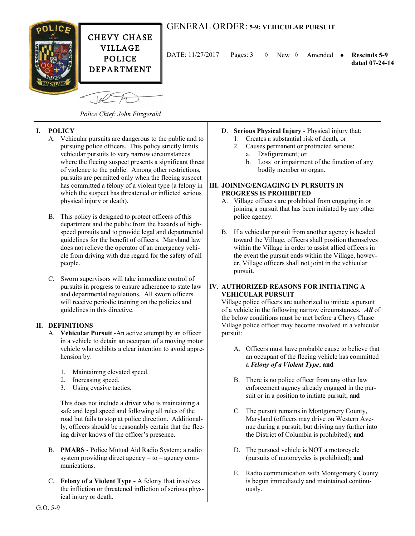

# GENERAL ORDER: **5-9; VEHICULAR PURSUIT**

DATE: 11/27/2017 New Amended **Rescinds 5-9** Pages: 3

 **dated 07-24-14**

*Police Chief: John Fitzgerald*

# **I. POLICY**

- A. Vehicular pursuits are dangerous to the public and to pursuing police officers. This policy strictly limits vehicular pursuits to very narrow circumstances where the fleeing suspect presents a significant threat of violence to the public. Among other restrictions, pursuits are permitted only when the fleeing suspect has committed a felony of a violent type (a felony in which the suspect has threatened or inflicted serious physical injury or death).
- B. This policy is designed to protect officers of this department and the public from the hazards of highspeed pursuits and to provide legal and departmental guidelines for the benefit of officers. Maryland law does not relieve the operator of an emergency vehicle from driving with due regard for the safety of all people.
- C. Sworn supervisors will take immediate control of pursuits in progress to ensure adherence to state law and departmental regulations. All sworn officers will receive periodic training on the policies and guidelines in this directive.

## **II. DEFINITIONS**

- A. **Vehicular Pursuit** -An active attempt by an officer in a vehicle to detain an occupant of a moving motor vehicle who exhibits a clear intention to avoid apprehension by:
	- 1. Maintaining elevated speed.
	- 2. Increasing speed.
	- 3. Using evasive tactics.

This does not include a driver who is maintaining a safe and legal speed and following all rules of the road but fails to stop at police direction. Additionally, officers should be reasonably certain that the fleeing driver knows of the officer's presence.

- B. **PMARS** Police Mutual Aid Radio System; a radio system providing direct agency – to – agency communications.
- C. **Felony of a Violent Type -** A felony that involves the infliction or threatened infliction of serious physical injury or death.
- D. **Serious Physical Injury** Physical injury that:
	- 1. Creates a substantial risk of death, or
	- 2. Causes permanent or protracted serious: a. Disfigurement; or
		- b. Loss or impairment of the function of any bodily member or organ.

#### **III. JOINING/ENGAGING IN PURSUITS IN PROGRESS IS PROHIBITED**

- A. Village officers are prohibited from engaging in or joining a pursuit that has been initiated by any other police agency.
- B. If a vehicular pursuit from another agency is headed toward the Village, officers shall position themselves within the Village in order to assist allied officers in the event the pursuit ends within the Village, however, Village officers shall not joint in the vehicular pursuit.

## **IV. AUTHORIZED REASONS FOR INITIATING A VEHICULAR PURSUIT**

Village police officers are authorized to initiate a pursuit of a vehicle in the following narrow circumstances. *All* of the below conditions must be met before a Chevy Chase Village police officer may become involved in a vehicular pursuit:

- A. Officers must have probable cause to believe that an occupant of the fleeing vehicle has committed a *Felony of a Violent Type*; **and**
- B. There is no police officer from any other law enforcement agency already engaged in the pursuit or in a position to initiate pursuit; **and**
- C. The pursuit remains in Montgomery County, Maryland (officers may drive on Western Avenue during a pursuit, but driving any further into the District of Columbia is prohibited); **and**
- D. The pursued vehicle is NOT a motorcycle (pursuits of motorcycles is prohibited); **and**
- E. Radio communication with Montgomery County is begun immediately and maintained continuously.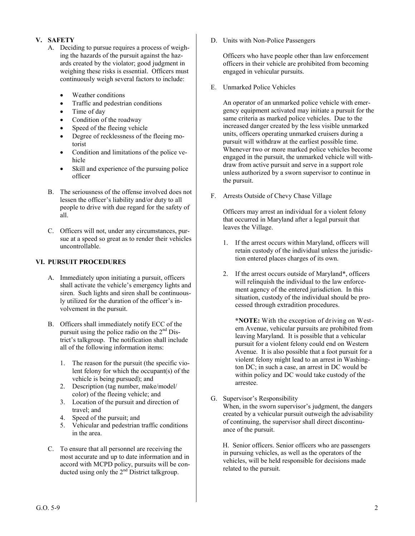## **V. SAFETY**

- A. Deciding to pursue requires a process of weighing the hazards of the pursuit against the hazards created by the violator; good judgment in weighing these risks is essential. Officers must continuously weigh several factors to include:
	- Weather conditions
	- Traffic and pedestrian conditions
	- Time of day
	- Condition of the roadway
	- Speed of the fleeing vehicle
	- Degree of recklessness of the fleeing motorist
	- Condition and limitations of the police vehicle
	- Skill and experience of the pursuing police officer
- B. The seriousness of the offense involved does not lessen the officer's liability and/or duty to all people to drive with due regard for the safety of all.
- C. Officers will not, under any circumstances, pursue at a speed so great as to render their vehicles uncontrollable.

## **VI. PURSUIT PROCEDURES**

- A. Immediately upon initiating a pursuit, officers shall activate the vehicle's emergency lights and siren. Such lights and siren shall be continuously utilized for the duration of the officer's involvement in the pursuit.
- B. Officers shall immediately notify ECC of the pursuit using the police radio on the  $2<sup>nd</sup>$  District's talkgroup. The notification shall include all of the following information items:
	- 1. The reason for the pursuit (the specific violent felony for which the occupant(s) of the vehicle is being pursued); and
	- 2. Description (tag number, make/model/ color) of the fleeing vehicle; and
	- 3. Location of the pursuit and direction of travel; and
	- 4. Speed of the pursuit; and
	- 5. Vehicular and pedestrian traffic conditions in the area.
- C. To ensure that all personnel are receiving the most accurate and up to date information and in accord with MCPD policy, pursuits will be conducted using only the  $2<sup>nd</sup>$  District talkgroup.

D. Units with Non-Police Passengers

Officers who have people other than law enforcement officers in their vehicle are prohibited from becoming engaged in vehicular pursuits.

E. Unmarked Police Vehicles

An operator of an unmarked police vehicle with emergency equipment activated may initiate a pursuit for the same criteria as marked police vehicles. Due to the increased danger created by the less visible unmarked units, officers operating unmarked cruisers during a pursuit will withdraw at the earliest possible time. Whenever two or more marked police vehicles become engaged in the pursuit, the unmarked vehicle will withdraw from active pursuit and serve in a support role unless authorized by a sworn supervisor to continue in the pursuit.

F. Arrests Outside of Chevy Chase Village

Officers may arrest an individual for a violent felony that occurred in Maryland after a legal pursuit that leaves the Village.

- 1. If the arrest occurs within Maryland, officers will retain custody of the individual unless the jurisdiction entered places charges of its own.
- 2. If the arrest occurs outside of Maryland\*, officers will relinquish the individual to the law enforcement agency of the entered jurisdiction. In this situation, custody of the individual should be processed through extradition procedures.

**\*NOTE:** With the exception of driving on Western Avenue, vehicular pursuits are prohibited from leaving Maryland. It is possible that a vehicular pursuit for a violent felony could end on Western Avenue. It is also possible that a foot pursuit for a violent felony might lead to an arrest in Washington DC; in such a case, an arrest in DC would be within policy and DC would take custody of the arrestee.

G. Supervisor's Responsibility When, in the sworn supervisor's judgment, the dangers created by a vehicular pursuit outweigh the advisability of continuing, the supervisor shall direct discontinu-

ance of the pursuit.

 H. Senior officers. Senior officers who are passengers in pursuing vehicles, as well as the operators of the vehicles, will be held responsible for decisions made related to the pursuit.